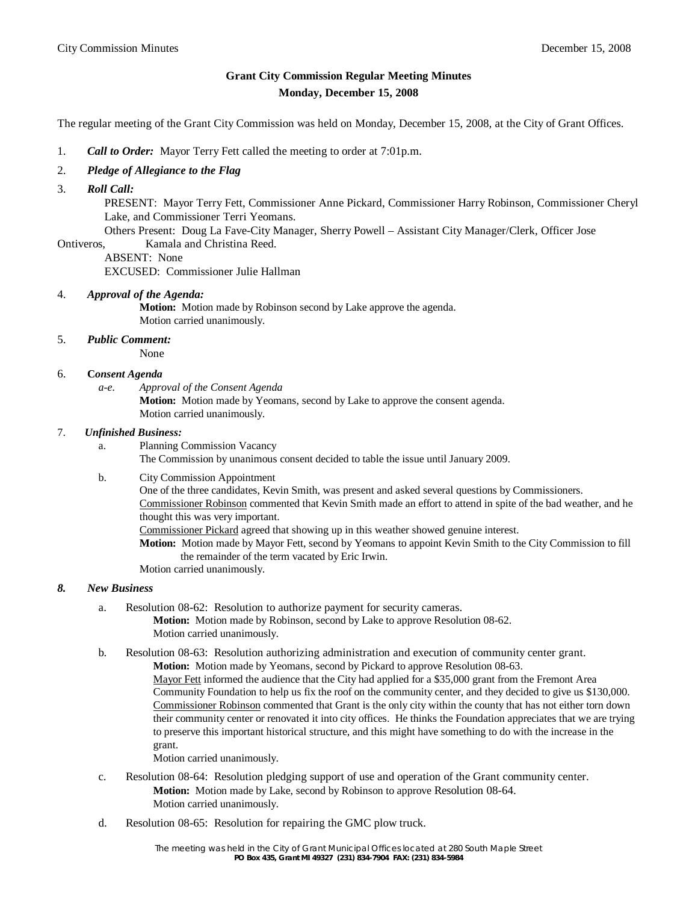# **Grant City Commission Regular Meeting Minutes Monday, December 15, 2008**

The regular meeting of the Grant City Commission was held on Monday, December 15, 2008, at the City of Grant Offices.

- 1. *Call to Order:* Mayor Terry Fett called the meeting to order at 7:01p.m.
- 2. *Pledge of Allegiance to the Flag*
- 3. *Roll Call:*

 PRESENT: Mayor Terry Fett, Commissioner Anne Pickard, Commissioner Harry Robinson, Commissioner Cheryl Lake, and Commissioner Terri Yeomans.

Others Present: Doug La Fave-City Manager, Sherry Powell – Assistant City Manager/Clerk, Officer Jose

- Ontiveros, Kamala and Christina Reed.
	- ABSENT: None

EXCUSED: Commissioner Julie Hallman

#### 4. *Approval of the Agenda:*

**Motion:** Motion made by Robinson second by Lake approve the agenda. Motion carried unanimously.

# 5. *Public Comment:*

None

## 6. **C***onsent Agenda*

*a-e. Approval of the Consent Agenda* **Motion:** Motion made by Yeomans, second by Lake to approve the consent agenda. Motion carried unanimously.

#### 7. *Unfinished Business:*

a. Planning Commission Vacancy

The Commission by unanimous consent decided to table the issue until January 2009.

#### b. City Commission Appointment

One of the three candidates, Kevin Smith, was present and asked several questions by Commissioners. Commissioner Robinson commented that Kevin Smith made an effort to attend in spite of the bad weather, and he thought this was very important.

Commissioner Pickard agreed that showing up in this weather showed genuine interest.

**Motion:** Motion made by Mayor Fett, second by Yeomans to appoint Kevin Smith to the City Commission to fill the remainder of the term vacated by Eric Irwin.

Motion carried unanimously.

### *8. New Business*

- a. Resolution 08-62: Resolution to authorize payment for security cameras. **Motion:** Motion made by Robinson, second by Lake to approve Resolution 08-62. Motion carried unanimously.
- b. Resolution 08-63: Resolution authorizing administration and execution of community center grant. **Motion:** Motion made by Yeomans, second by Pickard to approve Resolution 08-63. Mayor Fett informed the audience that the City had applied for a \$35,000 grant from the Fremont Area Community Foundation to help us fix the roof on the community center, and they decided to give us \$130,000. Commissioner Robinson commented that Grant is the only city within the county that has not either torn down their community center or renovated it into city offices. He thinks the Foundation appreciates that we are trying to preserve this important historical structure, and this might have something to do with the increase in the grant.

Motion carried unanimously.

- c. Resolution 08-64: Resolution pledging support of use and operation of the Grant community center. **Motion:** Motion made by Lake, second by Robinson to approve Resolution 08-64. Motion carried unanimously.
- d. Resolution 08-65: Resolution for repairing the GMC plow truck.